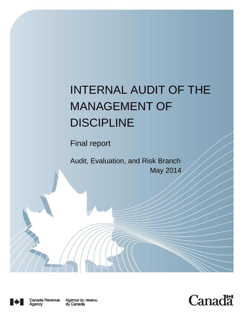# INTERNAL AUDIT OF THE MANAGEMENT OF **DISCIPLINE**

Final report

Audit, Evaluation, and Risk Branch May 2014



I



Agence du revenu<br>du Canada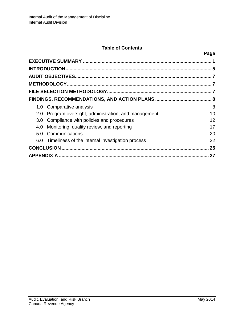# **Table of Contents**

| ×<br>۰.<br>×<br>I |
|-------------------|
|-------------------|

|                  | 1.0 Comparative analysis                             | 8  |  |  |
|------------------|------------------------------------------------------|----|--|--|
| 2.0              | Program oversight, administration, and management    | 10 |  |  |
| 3.0 <sub>2</sub> | Compliance with policies and procedures              | 12 |  |  |
| 4.0              | Monitoring, quality review, and reporting            | 17 |  |  |
| 5.0              | Communications                                       | 20 |  |  |
|                  | 6.0 Timeliness of the internal investigation process | 22 |  |  |
| 25               |                                                      |    |  |  |
| 27               |                                                      |    |  |  |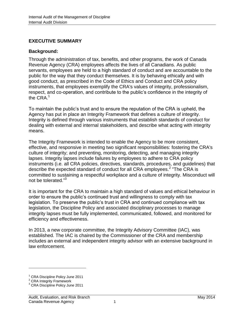# <span id="page-2-0"></span>**EXECUTIVE SUMMARY**

## **Background:**

Through the administration of tax, benefits, and other programs, the work of Canada Revenue Agency (CRA) employees affects the lives of all Canadians. As public servants, employees are held to a high standard of conduct and are accountable to the public for the way that they conduct themselves. It is by behaving ethically and with good conduct, as prescribed in the Code of Ethics and Conduct and CRA policy instruments, that employees exemplify the CRA's values of integrity, professionalism, respect, and co-operation, and contribute to the public's confidence in the integrity of the CRA.<sup>1</sup>

To maintain the public's trust and to ensure the reputation of the CRA is upheld, the Agency has put in place an Integrity Framework that defines a culture of integrity. Integrity is defined through various instruments that establish standards of conduct for dealing with external and internal stakeholders, and describe what acting with integrity means.

The Integrity Framework is intended to enable the Agency to be more consistent, effective, and responsive in meeting two significant responsibilities: fostering the CRA's culture of integrity; and preventing, monitoring, detecting, and managing integrity lapses. Integrity lapses include failures by employees to adhere to CRA policy instruments (i.e. all CRA policies, directives, standards, procedures, and guidelines) that describe the expected standard of conduct for all CRA employees.<sup>2</sup> "The CRA is committed to sustaining a respectful workplace and a culture of integrity. Misconduct will not be tolerated."<sup>3</sup>

It is important for the CRA to maintain a high standard of values and ethical behaviour in order to ensure the public's continued trust and willingness to comply with tax legislation. To preserve the public's trust in CRA and continued compliance with tax legislation, the Discipline Policy and associated disciplinary processes to manage integrity lapses must be fully implemented, communicated, followed, and monitored for efficiency and effectiveness.

In 2013, a new corporate committee, the Integrity Advisory Committee (IAC), was established. The IAC is chaired by the Commissioner of the CRA and membership includes an external and independent integrity advisor with an extensive background in law enforcement.

<sup>&</sup>lt;sup>1</sup> CRA Discipline Policy June 2011

<sup>&</sup>lt;sup>2</sup> CRA Integrity Framework

<sup>&</sup>lt;sup>3</sup> CRA Discipline Policy June 2011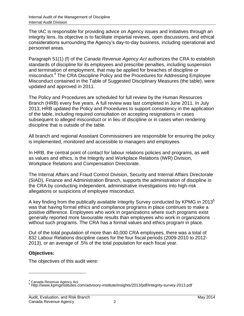The IAC is responsible for providing advice on Agency issues and initiatives through an integrity lens. Its objective is to facilitate impartial reviews, open discussions, and ethical considerations surrounding the Agency's day-to-day business, including operational and personnel areas.

Paragraph 51(1) (f) of the *Canada Revenue Agency Act* authorizes the CRA to establish standards of discipline for its employees and prescribe penalties, including suspension and termination of employment, that may be applied for breaches of discipline or misconduct.<sup>4</sup> The CRA Discipline Policy and the Procedures for Addressing Employee Misconduct contained in the Table of Suggested Disciplinary Measures (the table), were updated and approved in 2011.

The Policy and Procedures are scheduled for full review by the Human Resources Branch (HRB) every five years. A full review was last completed in June 2011. In July 2013, HRB updated the Policy and Procedures to support consistency in the application of the table, including required consultation on accepting resignations in cases subsequent to alleged misconduct or in lieu of discipline or in cases when rendering discipline that is outside of the table.

All branch and regional Assistant Commissioners are responsible for ensuring the policy is implemented, monitored and accessible to managers and employees.

In HRB, the central point of contact for labour relations policies and programs, as well as values and ethics, is the Integrity and Workplace Relations (IWR) Division, Workplace Relations and Compensation Directorate.

The Internal Affairs and Fraud Control Division, Security and Internal Affairs Directorate (SIAD), Finance and Administration Branch, supports the administration of discipline in the CRA by conducting independent, administrative investigations into high-risk allegations or suspicions of employee misconduct.

A key finding from the publically available Integrity Survey conducted by KPMG in 2013<sup>5</sup> was that having formal ethics and compliance programs in place continues to make a positive difference. Employees who work in organizations where such programs exist generally reported more favourable results than employees who work in organizations without such programs. The CRA has a formal values and ethics program in place.

Out of the total population of more than 40,000 CRA employees, there was a total of 832 Labour Relations discipline cases for the four fiscal periods (2009-2010 to 2012- 2013), or an average of .5% of the total population for each fiscal year.

# **Objectives:**

 $\overline{a}$ 

The objectives of this audit were:

<sup>&</sup>lt;sup>4</sup> Canada Revenue Agency Act<br><sup>5</sup> http://www.kpmginstitutes.com/advisory-institute/insights/2013/pdf/integrity-survey-2013.pdf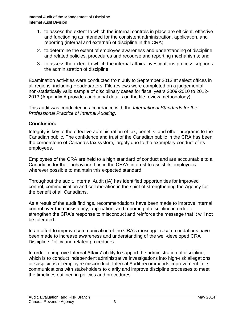- 1. to assess the extent to which the internal controls in place are efficient, effective and functioning as intended for the consistent administration, application, and reporting (internal and external) of discipline in the CRA;
- 2. to determine the extent of employee awareness and understanding of discipline and related policies, procedures and recourse and reporting mechanisms; and
- 3. to assess the extent to which the internal affairs investigations process supports the administration of discipline.

Examination activities were conducted from July to September 2013 at select offices in all regions, including Headquarters. File reviews were completed on a judgemental, non-statistically valid sample of disciplinary cases for fiscal years 2009-2010 to 2012- 2013 (Appendix A provides additional details on the file review methodology).

This audit was conducted in accordance with the *International Standards for the Professional Practice of Internal Auditing*.

# **Conclusion:**

Integrity is key to the effective administration of tax, benefits, and other programs to the Canadian public. The confidence and trust of the Canadian public in the CRA has been the cornerstone of Canada's tax system, largely due to the exemplary conduct of its employees.

Employees of the CRA are held to a high standard of conduct and are accountable to all Canadians for their behaviour. It is in the CRA's interest to assist its employees wherever possible to maintain this expected standard.

Throughout the audit, Internal Audit (IA) has identified opportunities for improved control, communication and collaboration in the spirit of strengthening the Agency for the benefit of all Canadians.

As a result of the audit findings, recommendations have been made to improve internal control over the consistency, application, and reporting of discipline in order to strengthen the CRA's response to misconduct and reinforce the message that it will not be tolerated.

In an effort to improve communication of the CRA's message, recommendations have been made to increase awareness and understanding of the well-developed CRA Discipline Policy and related procedures.

In order to improve Internal Affairs' ability to support the administration of discipline, which is to conduct independent administrative investigations into high-risk allegations or suspicions of employee misconduct, Internal Audit recommends improvement in its communications with stakeholders to clarify and improve discipline processes to meet the timelines outlined in policies and procedures.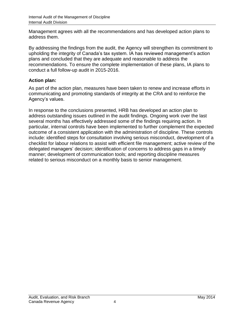Management agrees with all the recommendations and has developed action plans to address them.

By addressing the findings from the audit, the Agency will strengthen its commitment to upholding the integrity of Canada's tax system. IA has reviewed management's action plans and concluded that they are adequate and reasonable to address the recommendations. To ensure the complete implementation of these plans, IA plans to conduct a full follow-up audit in 2015-2016.

# **Action plan:**

As part of the action plan, measures have been taken to renew and increase efforts in communicating and promoting standards of integrity at the CRA and to reinforce the Agency's values.

In response to the conclusions presented, HRB has developed an action plan to address outstanding issues outlined in the audit findings. Ongoing work over the last several months has effectively addressed some of the findings requiring action. In particular, internal controls have been implemented to further complement the expected outcome of a consistent application with the administration of discipline. These controls include: identified steps for consultation involving serious misconduct, development of a checklist for labour relations to assist with efficient file management; active review of the delegated managers' decision; identification of concerns to address gaps in a timely manner; development of communication tools; and reporting discipline measures related to serious misconduct on a monthly basis to senior management.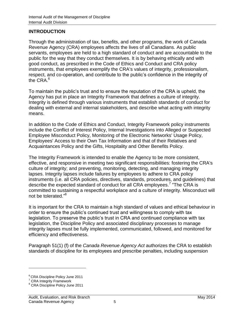#### <span id="page-6-0"></span>**INTRODUCTION**

Through the administration of tax, benefits, and other programs, the work of Canada Revenue Agency (CRA) employees affects the lives of all Canadians. As public servants, employees are held to a high standard of conduct and are accountable to the public for the way that they conduct themselves. It is by behaving ethically and with good conduct, as prescribed in the Code of Ethics and Conduct and CRA policy instruments, that employees exemplify the CRA's values of integrity, professionalism, respect, and co-operation, and contribute to the public's confidence in the integrity of the CRA.<sup>6</sup>

To maintain the public's trust and to ensure the reputation of the CRA is upheld, the Agency has put in place an Integrity Framework that defines a culture of integrity. Integrity is defined through various instruments that establish standards of conduct for dealing with external and internal stakeholders, and describe what acting with integrity means.

In addition to the Code of Ethics and Conduct, Integrity Framework policy instruments include the Conflict of Interest Policy, Internal Investigations into Alleged or Suspected Employee Misconduct Policy, Monitoring of the Electronic Networks' Usage Policy, Employees' Access to their Own Tax Information and that of their Relatives and Acquaintances Policy and the Gifts, Hospitality and Other Benefits Policy.

The Integrity Framework is intended to enable the Agency to be more consistent, effective, and responsive in meeting two significant responsibilities: fostering the CRA's culture of integrity; and preventing, monitoring, detecting, and managing integrity lapses. Integrity lapses include failures by employees to adhere to CRA policy instruments (i.e. all CRA policies, directives, standards, procedures, and guidelines) that describe the expected standard of conduct for all CRA employees.<sup>7</sup> "The CRA is committed to sustaining a respectful workplace and a culture of integrity. Misconduct will not be tolerated."<sup>8</sup>

It is important for the CRA to maintain a high standard of values and ethical behaviour in order to ensure the public's continued trust and willingness to comply with tax legislation. To preserve the public's trust in CRA and continued compliance with tax legislation, the Discipline Policy and associated disciplinary processes to manage integrity lapses must be fully implemented, communicated, followed, and monitored for efficiency and effectiveness.

Paragraph 51(1) (f) of the *Canada Revenue Agency Act* authorizes the CRA to establish standards of discipline for its employees and prescribe penalties, including suspension

<sup>6</sup> CRA Discipline Policy June 2011

<sup>7</sup> CRA Integrity Framework

<sup>&</sup>lt;sup>8</sup> CRA Discipline Policy June 2011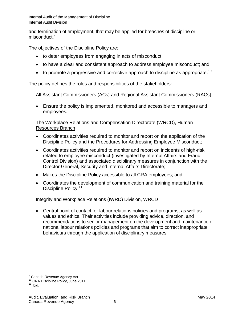and termination of employment, that may be applied for breaches of discipline or misconduct.<sup>9</sup>

The objectives of the Discipline Policy are:

- to deter employees from engaging in acts of misconduct;
- to have a clear and consistent approach to address employee misconduct; and
- $\bullet$  to promote a progressive and corrective approach to discipline as appropriate.<sup>10</sup>

The policy defines the roles and responsibilities of the stakeholders:

#### All Assistant Commissioners (ACs) and Regional Assistant Commissioners (RACs)

 Ensure the policy is implemented, monitored and accessible to managers and employees.

#### The Workplace Relations and Compensation Directorate (WRCD), Human Resources Branch

- Coordinates activities required to monitor and report on the application of the Discipline Policy and the Procedures for Addressing Employee Misconduct;
- Coordinates activities required to monitor and report on incidents of high-risk related to employee misconduct (investigated by Internal Affairs and Fraud Control Division) and associated disciplinary measures in conjunction with the Director General, Security and Internal Affairs Directorate;
- Makes the Discipline Policy accessible to all CRA employees; and
- Coordinates the development of communication and training material for the Discipline Policy.<sup>11</sup>

# Integrity and Workplace Relations (IWRD) Division, WRCD

 Central point of contact for labour relations policies and programs, as well as values and ethics. Their activities include providing advice, direction, and recommendations to senior management on the development and maintenance of national labour relations policies and programs that aim to correct inappropriate behaviours through the application of disciplinary measures.

<sup>&</sup>lt;sup>9</sup> Canada Revenue Agency Act

<sup>&</sup>lt;sup>10</sup> CRA Discipline Policy, June 2011

 $11$  Ibid.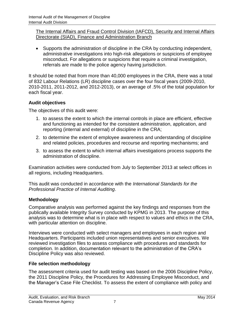# The Internal Affairs and Fraud Control Division (IAFCD), Security and Internal Affairs Directorate (SIAD), Finance and Administration Branch

 Supports the administration of discipline in the CRA by conducting independent, administrative investigations into high-risk allegations or suspicions of employee misconduct. For allegations or suspicions that require a criminal investigation, referrals are made to the police agency having jurisdiction.

It should be noted that from more than 40,000 employees in the CRA, there was a total of 832 Labour Relations (LR) discipline cases over the four fiscal years (2009-2010, 2010-2011, 2011-2012, and 2012-2013), or an average of .5% of the total population for each fiscal year.

# <span id="page-8-0"></span>**Audit objectives**

The objectives of this audit were:

- 1. to assess the extent to which the internal controls in place are efficient, effective and functioning as intended for the consistent administration, application, and reporting (internal and external) of discipline in the CRA;
- 2. to determine the extent of employee awareness and understanding of discipline and related policies, procedures and recourse and reporting mechanisms; and
- 3. to assess the extent to which internal affairs investigations process supports the administration of discipline.

Examination activities were conducted from July to September 2013 at select offices in all regions, including Headquarters.

This audit was conducted in accordance with the *International Standards for the Professional Practice of Internal Auditing*.

# <span id="page-8-1"></span>**Methodology**

Comparative analysis was performed against the key findings and responses from the publically available Integrity Survey conducted by KPMG in 2013. The purpose of this analysis was to determine what is in place with respect to values and ethics in the CRA, with particular attention on discipline.

Interviews were conducted with select managers and employees in each region and Headquarters. Participants included union representatives and senior executives. We reviewed investigation files to assess compliance with procedures and standards for completion. In addition, documentation relevant to the administration of the CRA's Discipline Policy was also reviewed.

# <span id="page-8-2"></span>**File selection methodology**

The assessment criteria used for audit testing was based on the 2006 Discipline Policy, the 2011 Discipline Policy, the Procedures for Addressing Employee Misconduct, and the Manager's Case File Checklist. To assess the extent of compliance with policy and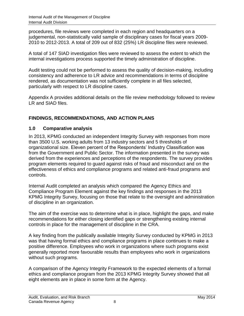procedures, file reviews were completed in each region and headquarters on a judgemental, non-statistically valid sample of disciplinary cases for fiscal years 2009- 2010 to 2012-2013. A total of 209 out of 832 (25%) LR discipline files were reviewed.

A total of 147 SIAD investigation files were reviewed to assess the extent to which the internal investigations process supported the timely administration of discipline.

Audit testing could not be performed to assess the quality of decision-making, including consistency and adherence to LR advice and recommendations in terms of discipline rendered, as documentation was not sufficiently complete in all files selected, particularly with respect to LR discipline cases.

Appendix A provides additional details on the file review methodology followed to review LR and SIAD files.

# <span id="page-9-0"></span>**FINDINGS, RECOMMENDATIONS, AND ACTION PLANS**

# <span id="page-9-1"></span>**1.0 Comparative analysis**

In 2013, KPMG conducted an independent Integrity Survey with responses from more than 3500 U.S. working adults from 13 industry sectors and 5 thresholds of organizational size. Eleven percent of the Respondents' Industry Classification was from the Government and Public Sector. The information presented in the survey was derived from the experiences and perceptions of the respondents. The survey provides program elements required to guard against risks of fraud and misconduct and on the effectiveness of ethics and compliance programs and related anti-fraud programs and controls.

Internal Audit completed an analysis which compared the Agency Ethics and Compliance Program Element against the key findings and responses in the 2013 KPMG Integrity Survey, focusing on those that relate to the oversight and administration of discipline in an organization.

The aim of the exercise was to determine what is in place, highlight the gaps, and make recommendations for either closing identified gaps or strengthening existing internal controls in place for the management of discipline in the CRA.

A key finding from the publically available Integrity Survey conducted by KPMG in 2013 was that having formal ethics and compliance programs in place continues to make a positive difference. Employees who work in organizations where such programs exist generally reported more favourable results than employees who work in organizations without such programs.

A comparison of the Agency Integrity Framework to the expected elements of a formal ethics and compliance program from the 2013 KPMG Integrity Survey showed that all eight elements are in place in some form at the Agency.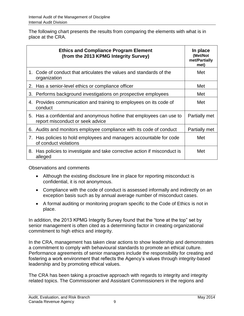The following chart presents the results from comparing the elements with what is in place at the CRA.

|    | <b>Ethics and Compliance Program Element</b><br>(from the 2013 KPMG Integrity Survey)                     | In place<br>(Met/Not<br>met/Partially<br>met) |
|----|-----------------------------------------------------------------------------------------------------------|-----------------------------------------------|
|    | 1. Code of conduct that articulates the values and standards of the<br>organization                       | Met                                           |
|    | 2. Has a senior-level ethics or compliance officer                                                        | Met                                           |
|    | 3. Performs background investigations on prospective employees                                            | Met                                           |
|    | 4. Provides communication and training to employees on its code of<br>conduct                             | Met                                           |
|    | 5. Has a confidential and anonymous hotline that employees can use to<br>report misconduct or seek advice | Partially met                                 |
| 6. | Audits and monitors employee compliance with its code of conduct                                          | Partially met                                 |
|    | 7. Has policies to hold employees and managers accountable for code<br>of conduct violations              | Met                                           |
|    | 8. Has policies to investigate and take corrective action if misconduct is<br>alleged                     | Met                                           |

Observations and comments

- Although the existing disclosure line in place for reporting misconduct is confidential, it is not anonymous.
- Compliance with the code of conduct is assessed informally and indirectly on an exception basis such as by annual average number of misconduct cases.
- A formal auditing or monitoring program specific to the Code of Ethics is not in place.

In addition, the 2013 KPMG Integrity Survey found that the "tone at the top" set by senior management is often cited as a determining factor in creating organizational commitment to high ethics and integrity.

In the CRA, management has taken clear actions to show leadership and demonstrates a commitment to comply with behavioural standards to promote an ethical culture. Performance agreements of senior managers include the responsibility for creating and fostering a work environment that reflects the Agency's values through integrity-based leadership and by promoting ethical values.

The CRA has been taking a proactive approach with regards to integrity and integrity related topics. The Commissioner and Assistant Commissioners in the regions and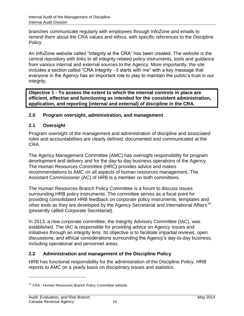branches communicate regularly with employees through InfoZone and emails to remind them about the CRA values and ethics, with specific references to the Discipline Policy.

An InfoZone website called "Integrity at the CRA" has been created. The website is the central repository with links to all integrity-related policy instruments, tools and guidance from various internal and external sources to the Agency. More importantly, the site includes a section called "CRA Integrity - it starts with me" with a key message that everyone in the Agency has an important role to play to maintain the public's trust in our integrity.

**Objective 1 - To assess the extent to which the internal controls in place are efficient, effective and functioning as intended for the consistent administration, application, and reporting (internal and external) of discipline in the CRA.** 

# <span id="page-11-0"></span>**2.0 Program oversight, administration, and management**

# **2.1 Oversight**

Program oversight of the management and administration of discipline and associated roles and accountabilities are clearly defined, documented and communicated at the CRA.

The Agency Management Committee (AMC) has oversight responsibility for program development and delivery and for the day-to-day business operations of the Agency. The Human Resources Committee (HRC) provides advice and makes recommendations to AMC on all aspects of human resources management. The Assistant Commissioner (AC) of HRB is a member on both committees.

The Human Resources Branch Policy Committee is a forum to discuss issues surrounding HRB policy instruments. The committee serves as a focal point for providing consolidated HRB feedback on corporate policy instruments, templates and other tools as they are developed by the Agency Secretariat and International Affairs<sup>12</sup> (presently called Corporate Secretariat).

In 2013, a new corporate committee, the Integrity Advisory Committee (IAC), was established. The IAC is responsible for providing advice on Agency issues and initiatives through an integrity lens. Its objective is to facilitate impartial reviews, open discussions, and ethical considerations surrounding the Agency's day-to-day business, including operational and personnel areas.

# **2.2 Administration and management of the Discipline Policy**

HRB has functional responsibility for the administration of the Discipline Policy. HRB reports to AMC on a yearly basis on disciplinary issues and statistics.

<sup>&</sup>lt;sup>12</sup> CRA - Human Resources Branch Policy Committee website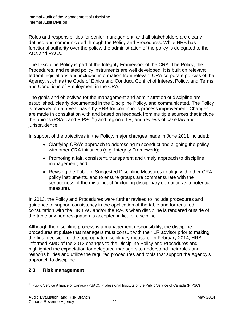Roles and responsibilities for senior management, and all stakeholders are clearly defined and communicated through the Policy and Procedures. While HRB has functional authority over the policy, the administration of the policy is delegated to the ACs and RACs.

The Discipline Policy is part of the Integrity Framework of the CRA. The Policy, the Procedures, and related policy instruments are well developed. It is built on relevant federal legislations and includes information from relevant CRA corporate policies of the Agency, such as the Code of Ethics and Conduct, Conflict of Interest Policy, and Terms and Conditions of Employment in the CRA.

The goals and objectives for the management and administration of discipline are established, clearly documented in the Discipline Policy, and communicated. The Policy is reviewed on a 5-year basis by HRB for continuous process improvement. Changes are made in consultation with and based on feedback from multiple sources that include the unions (PSAC and PIPSC<sup>13</sup>) and regional LR, and reviews of case law and jurisprudence.

In support of the objectives in the Policy, major changes made in June 2011 included:

- Clarifying CRA's approach to addressing misconduct and aligning the policy with other CRA initiatives (e.g. Integrity Framework);
- Promoting a fair, consistent, transparent and timely approach to discipline management; and
- Revising the Table of Suggested Discipline Measures to align with other CRA policy instruments, and to ensure groups are commensurate with the seriousness of the misconduct (including disciplinary demotion as a potential measure).

In 2013, the Policy and Procedures were further revised to include procedures and guidance to support consistency in the application of the table and for required consultation with the HRB AC and/or the RACs when discipline is rendered outside of the table or when resignation is accepted in lieu of discipline.

Although the discipline process is a management responsibility, the discipline procedures stipulate that managers must consult with their LR advisor prior to making the final decision for the appropriate disciplinary measure. In February 2014, HRB informed AMC of the 2013 changes to the Discipline Policy and Procedures and highlighted the expectation for delegated managers to understand their roles and responsibilities and utilize the required procedures and tools that support the Agency's approach to discipline.

# **2.3 Risk management**

<sup>&</sup>lt;sup>13</sup> Public Service Alliance of Canada (PSAC); Professional Institute of the Public Service of Canada (PIPSC)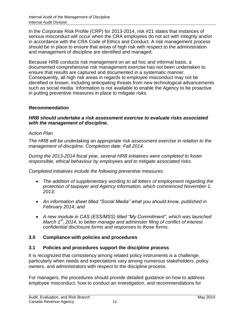In the Corporate Risk Profile (CRP) for 2013-2014, risk #21 states that instances of serious misconduct will occur when the CRA employees do not act with integrity and/or in accordance with the CRA Code of Ethics and Conduct. A risk management process should be in place to ensure that areas of high risk with respect to the administration and management of discipline are identified and managed.

Because HRB conducts risk management on an ad hoc and informal basis, a documented comprehensive risk management exercise has not been undertaken to ensure that results are captured and documented in a systematic manner. Consequently, all high risk areas in regards to employee misconduct may not be identified or known, including anticipating threats from new technological advancements such as social media. Information is not available to enable the Agency to be proactive in putting preventive measures in place to mitigate risks.

# *Recommendation*

#### *HRB should undertake a risk assessment exercise to evaluate risks associated with the management of discipline.*

#### *Action Plan*

*The HRB will be undertaking an appropriate risk assessment exercise in relation to the management of discipline. Completion date: Fall 2014.*

*During the 2013-2014 fiscal year, several HRB initiatives were completed to foster responsible, ethical behaviour by employees and to mitigate associated risks.*

*Completed initiatives include the following preventive measures:* 

- *The addition of supplementary wording to all letters of employment regarding the protection of taxpayer and Agency information, which commenced November 1, 2013;*
- *An information sheet titled "Social Media" what you should know, published in February 2014; and*
- *A new module in CAS (ESS/MSS) titled "My Commitment", which was launched March 1st, 2014, to better manage and administer filing of conflict of interest confidential disclosure forms and responses to those forms.*

# <span id="page-13-0"></span>**3.0 Compliance with policies and procedures**

# **3.1 Policies and procedures support the discipline process**

It is recognized that consistency among related policy instruments is a challenge, particularly when needs and expectations vary among numerous stakeholders, policy owners, and administrators with respect to the discipline process.

For managers, the procedures should provide detailed guidance on how to address employee misconduct, how to conduct an investigation, and recommendations for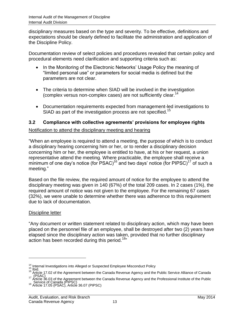disciplinary measures based on the type and severity. To be effective, definitions and expectations should be clearly defined to facilitate the administration and application of the Discipline Policy.

Documentation review of select policies and procedures revealed that certain policy and procedural elements need clarification and supporting criteria such as:

- In the Monitoring of the Electronic Networks' Usage Policy the meaning of "limited personal use" or parameters for social media is defined but the parameters are not clear.
- The criteria to determine when SIAD will be involved in the investigation (complex versus non-complex cases) are not sufficiently clear.<sup>14</sup>
- Documentation requirements expected from management-led investigations to SIAD as part of the investigation process are not specified.<sup>15</sup>

# **3.2 Compliance with collective agreements' provisions for employee rights**

# Notification to attend the disciplinary meeting and hearing

"When an employee is required to attend a meeting, the purpose of which is to conduct a disciplinary hearing concerning him or her, or to render a disciplinary decision concerning him or her, the employee is entitled to have, at his or her request, a union representative attend the meeting. Where practicable, the employee shall receive a minimum of one day's notice (for PSAC)<sup>16</sup> and two days' notice (for PIPSC)<sup>17</sup> of such a meeting."

Based on the file review, the required amount of notice for the employee to attend the disciplinary meeting was given in 140 (67%) of the total 209 cases. In 2 cases (1%), the required amount of notice was not given to the employee. For the remaining 67 cases (32%), we were unable to determine whether there was adherence to this requirement due to lack of documentation.

# Discipline letter

 $\overline{a}$ 

"Any document or written statement related to disciplinary action, which may have been placed on the personnel file of an employee, shall be destroyed after two (2) years have elapsed since the disciplinary action was taken, provided that no further disciplinary action has been recorded during this period.<sup>18</sup>"

<sup>&</sup>lt;sup>14</sup> Internal Investigations into Alleged or Suspected Employee Misconduct Policy<br>15 Ibid.<br><sup>16</sup> Article 17.02 of the Agreement between the Canada Revenue Agency and the Public Service Alliance of Canada 17 (PSAC)<br><sup>17</sup> Article 36.03 of the Agreement between the Canada Revenue Agency and the Professional Institute of the Public

<sup>18</sup> Service of Canada (PIPSC)<br><sup>18</sup> Article 17.05 (PSAC), Article 36.07 (PIPSC)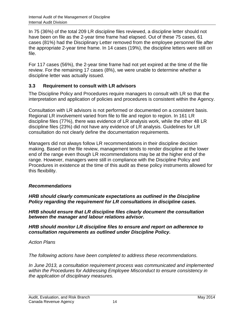In 75 (36%) of the total 209 LR discipline files reviewed, a discipline letter should not have been on file as the 2-year time frame had elapsed. Out of these 75 cases, 61 cases (81%) had the Disciplinary Letter removed from the employee personnel file after the appropriate 2-year time frame. In 14 cases (19%), the discipline letters were still on file.

For 117 cases (56%), the 2-year time frame had not yet expired at the time of the file review. For the remaining 17 cases (8%), we were unable to determine whether a discipline letter was actually issued.

# **3.3 Requirement to consult with LR advisors**

The Discipline Policy and Procedures require managers to consult with LR so that the interpretation and application of policies and procedures is consistent within the Agency.

Consultation with LR advisors is not performed or documented on a consistent basis. Regional LR involvement varied from file to file and region to region. In 161 LR discipline files (77%), there was evidence of LR analysis work, while the other 48 LR discipline files (23%) did not have any evidence of LR analysis. Guidelines for LR consultation do not clearly define the documentation requirements.

Managers did not always follow LR recommendations in their discipline decision making. Based on the file review, management tends to render discipline at the lower end of the range even though LR recommendations may be at the higher end of the range. However, managers were still in compliance with the Discipline Policy and Procedures in existence at the time of this audit as these policy instruments allowed for this flexibility.

# *Recommendations*

*HRB should clearly communicate expectations as outlined in the Discipline Policy regarding the requirement for LR consultations in discipline cases.*

*HRB should ensure that LR discipline files clearly document the consultation between the manager and labour relations advisor.*

*HRB should monitor LR discipline files to ensure and report on adherence to consultation requirements as outlined under Discipline Policy.*

# *Action Plans*

*The following actions have been completed to address these recommendations.*

*In June 2013, a consultation requirement process was communicated and implemented within the Procedures for Addressing Employee Misconduct to ensure consistency in the application of disciplinary measures.*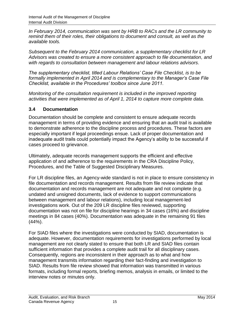*In February 2014, communication was sent by HRB to RACs and the LR community to remind them of their roles, their obligations to document and consult, as well as the available tools.*

*Subsequent to the February 2014 communication, a supplementary checklist for LR Advisors was created to ensure a more consistent approach to file documentation, and with regards to consultation between management and labour relations advisors.*

*The supplementary checklist, titled Labour Relations' Case File Checklist, is to be formally implemented in April 2014 and is complementary to the Manager's Case File Checklist, available in the Procedures' toolbox since June 2011.*

*Monitoring of the consultation requirement is included in the improved reporting activities that were implemented as of April 1, 2014 to capture more complete data.*

# **3.4 Documentation**

Documentation should be complete and consistent to ensure adequate records management in terms of providing evidence and ensuring that an audit trail is available to demonstrate adherence to the discipline process and procedures. These factors are especially important if legal proceedings ensue. Lack of proper documentation and inadequate audit trails could potentially impact the Agency's ability to be successful if cases proceed to grievance.

Ultimately, adequate records management supports the efficient and effective application of and adherence to the requirements in the CRA Discipline Policy, Procedures, and the Table of Suggested Disciplinary Measures.

For LR discipline files, an Agency-wide standard is not in place to ensure consistency in file documentation and records management. Results from file review indicate that documentation and records management are not adequate and not complete (e.g. undated and unsigned documents, lack of evidence to support communications between management and labour relations), including local management-led investigations work. Out of the 209 LR discipline files reviewed, supporting documentation was not on file for discipline hearings in 34 cases (16%) and discipline meetings in 84 cases (40%). Documentation was adequate in the remaining 91 files (44%).

For SIAD files where the investigations were conducted by SIAD, documentation is adequate. However, documentation requirements for investigations performed by local management are not clearly stated to ensure that both LR and SIAD files contain sufficient information that provides a complete audit trail for all disciplinary cases. Consequently, regions are inconsistent in their approach as to what and how management transmits information regarding their fact-finding and investigation to SIAD. Results from file review showed that information was transmitted in various formats, including formal reports, briefing memos, analysis in emails, or limited to the interview notes or minutes only.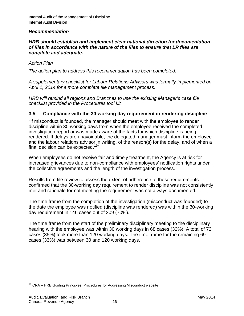#### *Recommendation*

#### *HRB should establish and implement clear national direction for documentation of files in accordance with the nature of the files to ensure that LR files are complete and adequate.*

#### *Action Plan*

*The action plan to address this recommendation has been completed.* 

*A supplementary checklist for Labour Relations Advisors was formally implemented on April 1, 2014 for a more complete file management process.*

*HRB will remind all regions and Branches to use the existing Manager's case file checklist provided in the Procedures tool kit.*

#### **3.5 Compliance with the 30-working day requirement in rendering discipline**

"If misconduct is founded, the manager should meet with the employee to render discipline within 30 working days from when the employee received the completed investigation report or was made aware of the facts for which discipline is being rendered. If delays are unavoidable, the delegated manager must inform the employee and the labour relations advisor in writing, of the reason(s) for the delay, and of when a final decision can be expected.<sup>19</sup>"

When employees do not receive fair and timely treatment, the Agency is at risk for increased grievances due to non-compliance with employees' notification rights under the collective agreements and the length of the investigation process.

Results from file review to assess the extent of adherence to these requirements confirmed that the 30-working day requirement to render discipline was not consistently met and rationale for not meeting the requirement was not always documented.

The time frame from the completion of the investigation (misconduct was founded) to the date the employee was notified (discipline was rendered) was within the 30-working day requirement in 146 cases out of 209 (70%).

The time frame from the start of the preliminary disciplinary meeting to the disciplinary hearing with the employee was within 30 working days in 68 cases (32%). A total of 72 cases (35%) took more than 120 working days. The time frame for the remaining 69 cases (33%) was between 30 and 120 working days.

<sup>&</sup>lt;sup>19</sup> CRA – HRB Guiding Principles, Procedures for Addressing Misconduct website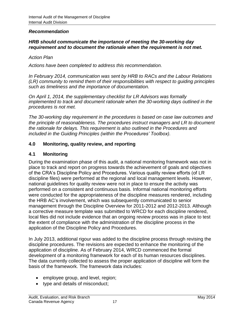#### *Recommendation*

#### *HRB should communicate the importance of meeting the 30-working day requirement and to document the rationale when the requirement is not met.*

#### *Action Plan*

*Actions have been completed to address this recommendation.*

*In February 2014, communication was sent by HRB to RACs and the Labour Relations (LR) community to remind them of their responsibilities with respect to guiding principles such as timeliness and the importance of documentation.*

*On April 1, 2014, the supplementary checklist for LR Advisors was formally implemented to track and document rationale when the 30-working days outlined in the procedures is not met.* 

*The 30-working day requirement in the procedures is based on case law outcomes and the principle of reasonableness. The procedures instruct managers and LR to document the rationale for delays. This requirement is also outlined in the Procedures and included in the Guiding Principles (within the Procedures' Toolbox).*

#### <span id="page-18-0"></span>**4.0 Monitoring, quality review, and reporting**

#### **4.1 Monitoring**

During the examination phase of this audit, a national monitoring framework was not in place to track and report on progress towards the achievement of goals and objectives of the CRA's Discipline Policy and Procedures. Various quality review efforts (of LR discipline files) were performed at the regional and local management levels. However, national guidelines for quality review were not in place to ensure the activity was performed on a consistent and continuous basis. Informal national monitoring efforts were conducted for the appropriateness of the discipline measures rendered, including the HRB AC's involvement, which was subsequently communicated to senior management through the Discipline Overview for 2011-2012 and 2012-2013. Although a corrective measure template was submitted to WRCD for each discipline rendered, local files did not include evidence that an ongoing review process was in place to test the extent of compliance with the administration of the discipline process in the application of the Discipline Policy and Procedures.

In July 2013, additional rigour was added to the discipline process through revising the discipline procedures. The revisions are expected to enhance the monitoring of the application of discipline. As of February 2014, WRCD commenced the formal development of a monitoring framework for each of its human resources disciplines. The data currently collected to assess the proper application of discipline will form the basis of the framework. The framework data includes:

- employee group, and level, region;
- type and details of misconduct;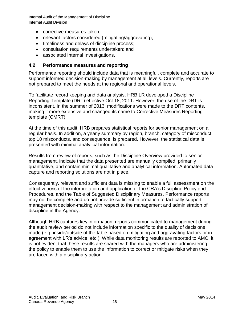- corrective measures taken;
- relevant factors considered (mitigating/aggravating);
- timeliness and delays of discipline process;
- consultation requirements undertaken; and
- associated Internal Investigations.

## **4.2 Performance measures and reporting**

Performance reporting should include data that is meaningful, complete and accurate to support informed decision-making by management at all levels. Currently, reports are not prepared to meet the needs at the regional and operational levels.

To facilitate record keeping and data analysis, HRB LR developed a Discipline Reporting Template (DRT) effective Oct 18, 2011. However, the use of the DRT is inconsistent. In the summer of 2013, modifications were made to the DRT contents, making it more extensive and changed its name to Corrective Measures Reporting template (CMRT).

At the time of this audit, HRB prepares statistical reports for senior management on a regular basis. In addition, a yearly summary by region, branch, category of misconduct, top 10 misconducts, and consequence, is prepared. However, the statistical data is presented with minimal analytical information.

Results from review of reports, such as the Discipline Overview provided to senior management, indicate that the data presented are manually compiled, primarily quantitative, and contain minimal qualitative and analytical information. Automated data capture and reporting solutions are not in place.

Consequently, relevant and sufficient data is missing to enable a full assessment on the effectiveness of the interpretation and application of the CRA's Discipline Policy and Procedures, and the Table of Suggested Disciplinary Measures. Performance reports may not be complete and do not provide sufficient information to tactically support management decision-making with respect to the management and administration of discipline in the Agency.

Although HRB captures key information, reports communicated to management during the audit review period do not include information specific to the quality of decisions made (e.g. inside/outside of the table based on mitigating and aggravating factors or in agreement with LR's advice, etc.). While data monitoring results are reported to AMC, it is not evident that these results are shared with the managers who are administering the policy to enable them to use the information to correct or mitigate risks when they are faced with a disciplinary action.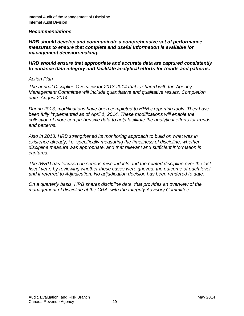#### *Recommendations*

*HRB should develop and communicate a comprehensive set of performance measures to ensure that complete and useful information is available for management decision-making.*

*HRB should ensure that appropriate and accurate data are captured consistently to enhance data integrity and facilitate analytical efforts for trends and patterns.*

#### *Action Plan*

*The annual Discipline Overview for 2013-2014 that is shared with the Agency Management Committee will include quantitative and qualitative results. Completion date: August 2014.*

*During 2013, modifications have been completed to HRB's reporting tools. They have been fully implemented as of April 1, 2014. These modifications will enable the collection of more comprehensive data to help facilitate the analytical efforts for trends and patterns.*

*Also in 2013, HRB strengthened its monitoring approach to build on what was in existence already, i.e. specifically measuring the timeliness of discipline, whether discipline measure was appropriate, and that relevant and sufficient information is captured.*

*The IWRD has focused on serious misconducts and the related discipline over the last*  fiscal year, by reviewing whether these cases were grieved, the outcome of each level, *and if referred to Adjudication. No adjudication decision has been rendered to date.*

*On a quarterly basis, HRB shares discipline data, that provides an overview of the management of discipline at the CRA, with the Integrity Advisory Committee.*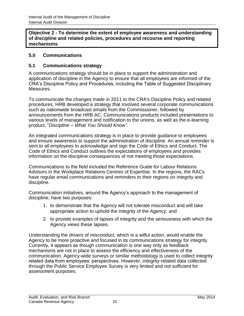**Objective 2 - To determine the extent of employee awareness and understanding of discipline and related policies, procedures and recourse and reporting mechanisms**

# <span id="page-21-0"></span>**5.0 Communications**

# **5.1 Communications strategy**

A communications strategy should be in place to support the administration and application of discipline in the Agency to ensure that all employees are informed of the CRA's Discipline Policy and Procedures, including the Table of Suggested Disciplinary Measures.

To communicate the changes made in 2011 to the CRA's Discipline Policy and related procedures, HRB developed a strategy that involved several corporate communications such as nationwide broadcast emails from the Commissioner, followed by announcements from the HRB AC. Communications products included presentations to various levels of management and notification to the unions, as well as the e-learning product, "*Discipline – What You Should Know"*.

An integrated communications strategy is in place to provide guidance to employees and ensure awareness to support the administration of discipline. An annual reminder is sent to all employees to acknowledge and sign the Code of Ethics and Conduct. The Code of Ethics and Conduct outlines the expectations of employees and provides information on the discipline consequences of not meeting those expectations.

Communications to the field included the Reference Guide for Labour Relations Advisors in the Workplace Relations Centres of Expertise. In the regions, the RACs have regular email communications and reminders to their regions on integrity and discipline.

Communication initiatives, around the Agency's approach to the management of discipline, have two purposes:

- 1. to demonstrate that the Agency will not tolerate misconduct and will take appropriate action to uphold the integrity of the Agency; and
- 2. to provide examples of lapses of integrity and the seriousness with which the Agency views these lapses.

Understanding the drivers of misconduct, which is a wilful action, would enable the Agency to be more proactive and focused in its communications strategy for integrity. Currently, it appears as though communication is one way only as feedback mechanisms are not in place to assess the efficiency and effectiveness of the communication. Agency-wide surveys or similar methodology is used to collect integrity related data from employees' perspectives. However, integrity-related data collected through the Public Service Employee Survey is very limited and not sufficient for assessment purposes.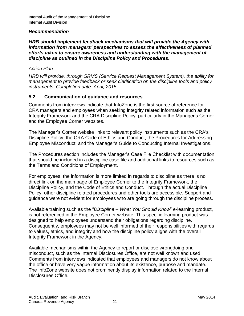#### *Recommendation*

*HRB should implement feedback mechanisms that will provide the Agency with information from managers' perspectives to assess the effectiveness of planned efforts taken to ensure awareness and understanding with the management of discipline as outlined in the Discipline Policy and Procedures.*

#### *Action Plan*

*HRB will provide, through SRMS (Service Request Management System), the ability for management to provide feedback or seek clarification on the discipline tools and policy instruments. Completion date: April, 2015.*

# **5.2 Communication of guidance and resources**

Comments from interviews indicate that InfoZone is the first source of reference for CRA managers and employees when seeking integrity related information such as the Integrity Framework and the CRA Discipline Policy, particularly in the Manager's Corner and the Employee Corner websites.

The Manager's Corner website links to relevant policy instruments such as the CRA's Discipline Policy, the CRA Code of Ethics and Conduct, the Procedures for Addressing Employee Misconduct, and the Manager's Guide to Conducting Internal Investigations.

The Procedures section includes the Manager's Case File Checklist with documentation that should be included in a discipline case file and additional links to resources such as the Terms and Conditions of Employment.

For employees, the information is more limited in regards to discipline as there is no direct link on the main page of Employee Corner to the Integrity Framework, the Discipline Policy, and the Code of Ethics and Conduct. Through the actual Discipline Policy, other discipline related procedures and other tools are accessible. Support and guidance were not evident for employees who are going through the discipline process.

Available training such as the "*Discipline – What You Should Know*" e-learning product, is not referenced in the Employee Corner website. This specific learning product was designed to help employees understand their obligations regarding discipline. Consequently, employees may not be well informed of their responsibilities with regards to values, ethics, and integrity and how the discipline policy aligns with the overall Integrity Framework in the Agency.

Available mechanisms within the Agency to report or disclose wrongdoing and misconduct, such as the Internal Disclosures Office, are not well known and used. Comments from interviews indicated that employees and managers do not know about the office or have very vague information about its existence, purpose and mandate. The InfoZone website does not prominently display information related to the Internal Disclosures Office.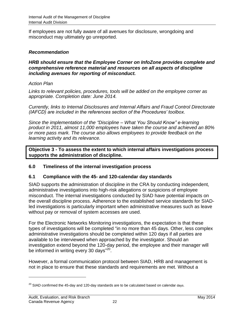If employees are not fully aware of all avenues for disclosure, wrongdoing and misconduct may ultimately go unreported.

## *Recommendation*

#### *HRB should ensure that the Employee Corner on InfoZone provides complete and comprehensive reference material and resources on all aspects of discipline including avenues for reporting of misconduct.*

#### *Action Plan*

*Links to relevant policies, procedures, tools will be added on the employee corner as appropriate. Completion date: June 2014.*

*Currently, links to Internal Disclosures and Internal Affairs and Fraud Control Directorate (IAFCD) are included in the references section of the Procedures' toolbox.*

*Since the implementation of the "Discipline – What You Should Know" e-learning product in 2011, almost 11,000 employees have taken the course and achieved an 80% or more pass mark. The course also allows employees to provide feedback on the learning activity and its relevance.* 

**Objective 3 - To assess the extent to which internal affairs investigations process supports the administration of discipline.**

# <span id="page-23-0"></span>**6.0 Timeliness of the internal investigation process**

#### **6.1 Compliance with the 45- and 120-calendar day standards**

SIAD supports the administration of discipline in the CRA by conducting independent, administrative investigations into high-risk allegations or suspicions of employee misconduct. The internal investigations conducted by SIAD have potential impacts on the overall discipline process. Adherence to the established service standards for SIADled investigations is particularly important when administrative measures such as leave without pay or removal of system accesses are used.

For the Electronic Networks Monitoring investigations, the expectation is that these types of investigations will be completed "in no more than 45 days. Other, less complex administrative investigations should be completed within 120 days if all parties are available to be interviewed when approached by the investigator. Should an investigation extend beyond the 120-day period, the employee and their manager will be informed in writing every 30 days"<sup>20</sup>.

However, a formal communication protocol between SIAD, HRB and management is not in place to ensure that these standards and requirements are met. Without a

 $^{20}$  SIAD confirmed the 45-day and 120-day standards are to be calculated based on calendar days.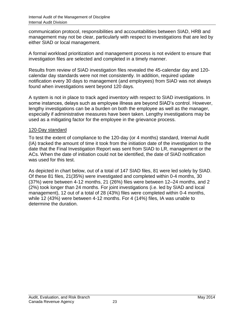communication protocol, responsibilities and accountabilities between SIAD, HRB and management may not be clear, particularly with respect to investigations that are led by either SIAD or local management.

A formal workload prioritization and management process is not evident to ensure that investigation files are selected and completed in a timely manner.

Results from review of SIAD investigation files revealed the 45-calendar day and 120 calendar day standards were not met consistently. In addition, required update notification every 30 days to management (and employees) from SIAD was not always found when investigations went beyond 120 days.

A system is not in place to track aged inventory with respect to SIAD investigations. In some instances, delays such as employee illness are beyond SIAD's control. However, lengthy investigations can be a burden on both the employee as well as the manager, especially if administrative measures have been taken. Lengthy investigations may be used as a mitigating factor for the employee in the grievance process.

#### 120-Day standard

To test the extent of compliance to the 120-day (or 4 months) standard, Internal Audit (IA) tracked the amount of time it took from the initiation date of the investigation to the date that the Final Investigation Report was sent from SIAD to LR, management or the ACs. When the date of initiation could not be identified, the date of SIAD notification was used for this test.

As depicted in chart below, out of a total of 147 SIAD files, 81 were led solely by SIAD. Of these 81 files, 21(35%) were investigated and completed within 0-4 months, 30 (37%) were between 4-12 months, 21 (26%) files were between 12–24 months, and 2 (2%) took longer than 24 months. For joint investigations (i.e. led by SIAD and local management), 12 out of a total of 28 (43%) files were completed within 0-4 months, while 12 (43%) were between 4-12 months. For 4 (14%) files, IA was unable to determine the duration.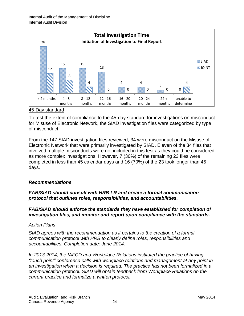

#### 45-Day standard

To test the extent of compliance to the 45-day standard for investigations on misconduct for Misuse of Electronic Network, the SIAD investigation files were categorized by type of misconduct.

From the 147 SIAD investigation files reviewed, 34 were misconduct on the Misuse of Electronic Network that were primarily investigated by SIAD. Eleven of the 34 files that involved multiple misconducts were not included in this test as they could be considered as more complex investigations. However, 7 (30%) of the remaining 23 files were completed in less than 45 calendar days and 16 (70%) of the 23 took longer than 45 days.

#### *Recommendations*

#### *FAB/SIAD should consult with HRB LR and create a formal communication protocol that outlines roles, responsibilities, and accountabilities.*

#### *FAB/SIAD should enforce the standards they have established for completion of investigation files, and monitor and report upon compliance with the standards.*

#### *Action Plans*

*SIAD agrees with the recommendation as it pertains to the creation of a formal communication protocol with HRB to clearly define roles, responsibilities and accountabilities. Completion date: June 2014.*

*In 2013-2014, the IAFCD and Workplace Relations instituted the practice of having "touch point" conference calls with workplace relations and management at any point in an investigation when a decision is required. The practice has not been formalized in a communication protocol. SIAD will obtain feedback from Workplace Relations on the current practice and formalize a written protocol.*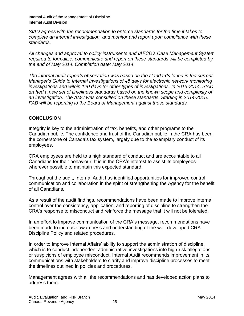*SIAD agrees with the recommendation to enforce standards for the time it takes to complete an internal investigation, and monitor and report upon compliance with these standards.*

*All changes and approval to policy instruments and IAFCD's Case Management System required to formalize, communicate and report on these standards will be completed by the end of May 2014. Completion date: May 2014.*

*The internal audit report's observation was based on the standards found in the current Manager's Guide to Internal Investigations of 45 days for electronic network monitoring investigations and within 120 days for other types of investigations. In 2013-2014, SIAD drafted a new set of timeliness standards based on the known scope and complexity of an investigation. The AMC was consulted on these standards. Starting in 2014-2015, FAB will be reporting to the Board of Management against these standards.* 

# <span id="page-26-0"></span>**CONCLUSION**

Integrity is key to the administration of tax, benefits, and other programs to the Canadian public. The confidence and trust of the Canadian public in the CRA has been the cornerstone of Canada's tax system, largely due to the exemplary conduct of its employees.

CRA employees are held to a high standard of conduct and are accountable to all Canadians for their behaviour. It is in the CRA's interest to assist its employees wherever possible to maintain this expected standard.

Throughout the audit, Internal Audit has identified opportunities for improved control, communication and collaboration in the spirit of strengthening the Agency for the benefit of all Canadians.

As a result of the audit findings, recommendations have been made to improve internal control over the consistency, application, and reporting of discipline to strengthen the CRA's response to misconduct and reinforce the message that it will not be tolerated.

In an effort to improve communication of the CRA's message, recommendations have been made to increase awareness and understanding of the well-developed CRA Discipline Policy and related procedures.

In order to improve Internal Affairs' ability to support the administration of discipline, which is to conduct independent administrative investigations into high-risk allegations or suspicions of employee misconduct, Internal Audit recommends improvement in its communications with stakeholders to clarify and improve discipline processes to meet the timelines outlined in policies and procedures.

Management agrees with all the recommendations and has developed action plans to address them.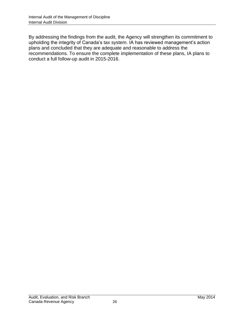By addressing the findings from the audit, the Agency will strengthen its commitment to upholding the integrity of Canada's tax system. IA has reviewed management's action plans and concluded that they are adequate and reasonable to address the recommendations. To ensure the complete implementation of these plans, IA plans to conduct a full follow-up audit in 2015-2016.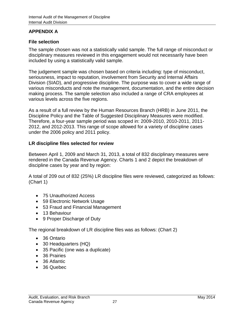# <span id="page-28-0"></span>**APPENDIX A**

## **File selection**

The sample chosen was not a statistically valid sample. The full range of misconduct or disciplinary measures reviewed in this engagement would not necessarily have been included by using a statistically valid sample.

The judgement sample was chosen based on criteria including: type of misconduct, seriousness, impact to reputation, involvement from Security and Internal Affairs Division (SIAD), and progressive discipline. The purpose was to cover a wide range of various misconducts and note the management, documentation, and the entire decision making process. The sample selection also included a range of CRA employees at various levels across the five regions.

As a result of a full review by the Human Resources Branch (HRB) in June 2011, the Discipline Policy and the Table of Suggested Disciplinary Measures were modified. Therefore, a four-year sample period was scoped in: 2009-2010, 2010-2011, 2011- 2012, and 2012-2013. This range of scope allowed for a variety of discipline cases under the 2006 policy and 2011 policy.

#### **LR discipline files selected for review**

Between April 1, 2009 and March 31, 2013, a total of 832 disciplinary measures were rendered in the Canada Revenue Agency. Charts 1 and 2 depict the breakdown of discipline cases by year and by region:

A total of 209 out of 832 (25%) LR discipline files were reviewed, categorized as follows: (Chart 1)

- 75 Unauthorized Access
- 59 Electronic Network Usage
- 53 Fraud and Financial Management
- 13 Behaviour
- 9 Proper Discharge of Duty

The regional breakdown of LR discipline files was as follows: (Chart 2)

- 36 Ontario
- 30 Headquarters (HQ)
- 35 Pacific (one was a duplicate)
- 36 Prairies
- 36 Atlantic
- 36 Quebec